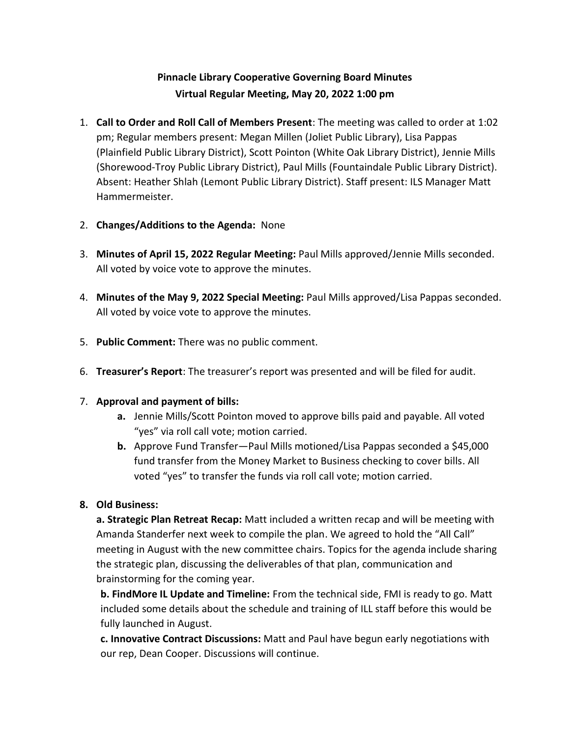# **Pinnacle Library Cooperative Governing Board Minutes Virtual Regular Meeting, May 20, 2022 1:00 pm**

- 1. **Call to Order and Roll Call of Members Present**: The meeting was called to order at 1:02 pm; Regular members present: Megan Millen (Joliet Public Library), Lisa Pappas (Plainfield Public Library District), Scott Pointon (White Oak Library District), Jennie Mills (Shorewood-Troy Public Library District), Paul Mills (Fountaindale Public Library District). Absent: Heather Shlah (Lemont Public Library District). Staff present: ILS Manager Matt Hammermeister.
- 2. **Changes/Additions to the Agenda:** None
- 3. **Minutes of April 15, 2022 Regular Meeting:** Paul Mills approved/Jennie Mills seconded. All voted by voice vote to approve the minutes.
- 4. **Minutes of the May 9, 2022 Special Meeting:** Paul Mills approved/Lisa Pappas seconded. All voted by voice vote to approve the minutes.
- 5. **Public Comment:** There was no public comment.
- 6. **Treasurer's Report**: The treasurer's report was presented and will be filed for audit.

### 7. **Approval and payment of bills:**

- **a.** Jennie Mills/Scott Pointon moved to approve bills paid and payable. All voted "yes" via roll call vote; motion carried.
- **b.** Approve Fund Transfer—Paul Mills motioned/Lisa Pappas seconded a \$45,000 fund transfer from the Money Market to Business checking to cover bills. All voted "yes" to transfer the funds via roll call vote; motion carried.

### **8. Old Business:**

**a. Strategic Plan Retreat Recap:** Matt included a written recap and will be meeting with Amanda Standerfer next week to compile the plan. We agreed to hold the "All Call" meeting in August with the new committee chairs. Topics for the agenda include sharing the strategic plan, discussing the deliverables of that plan, communication and brainstorming for the coming year.

**b. FindMore IL Update and Timeline:** From the technical side, FMI is ready to go. Matt included some details about the schedule and training of ILL staff before this would be fully launched in August.

**c. Innovative Contract Discussions:** Matt and Paul have begun early negotiations with our rep, Dean Cooper. Discussions will continue.